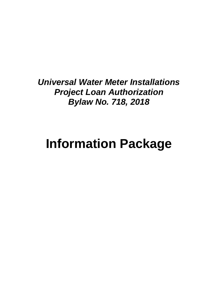*Universal Water Meter Installations Project Loan Authorization Bylaw No. 718, 2018*

# **Information Package**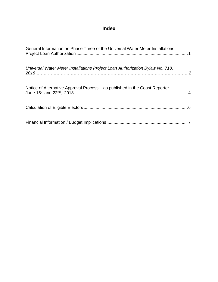# **Index**

| General Information on Phase Three of the Universal Water Meter Installations |  |
|-------------------------------------------------------------------------------|--|
| Universal Water Meter Installations Project Loan Authorization Bylaw No. 718, |  |
| Notice of Alternative Approval Process – as published in the Coast Reporter   |  |
|                                                                               |  |
|                                                                               |  |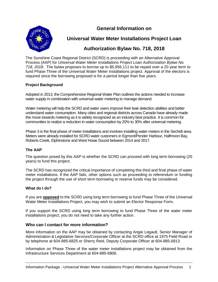**General Information on**



**Universal Water Meter Installations Project Loan** 

# **Authorization Bylaw No. 718, 2018**

The Sunshine Coast Regional District (SCRD) is proceeding with an Alternative Approval Process (AAP) for *Universal Water Meter Installations Project Loan Authorization Bylaw No. 718, 2018*. The bylaw proposes to borrow up to \$5,956,111 to be repaid over a 20 year term to fund Phase Three of the Universal Water Meter Installations project. Approval of the electors is required since the borrowing proposed is for a period longer than five years.

#### **Project Background**

Adopted in 2013, the Comprehensive Regional Water Plan outlines the actions needed to increase water supply in combination with universal water metering to manage demand.

Water metering will help the SCRD and water users improve their leak detection abilities and better understand water consumption. Many cities and regional districts across Canada have already made the move towards metering as it is widely recognized as an industry best practice. It is common for communities to realize a reduction in water consumption by 20% to 30% after universal metering.

Phase 3 is the final phase of meter installations and involves installing water meters in the Sechelt area. Meters were already installed for SCRD water customers in Egmont/Pender Harbour, Halfmoon Bay, Roberts Creek, Elphinstone and West Howe Sound between 2014 and 2017.

#### **The AAP**

The question posed by this AAP is whether the SCRD can proceed with long term borrowing (20 years) to fund this project.

The SCRD has recognized the critical importance of completing this third and final phase of water meter installations. If the AAP fails, other options such as proceeding to referendum or funding the project through the use of short term borrowing or reserve funds may be considered.

#### **What do I do?**

If you are **opposed** to the SCRD using long term borrowing to fund Phase Three of the Universal Water Meter Installations Project, you may wish to submit an Elector Response Form.

If you support the SCRD using long term borrowing to fund Phase Three of the water meter installations project, you do not need to take any further action.

#### **Who can I contact for more information?**

More information on the AAP may be obtained by contacting Angie Legault, Senior Manager of Administration & Legislative Services/Corporate Officer at the SCRD office at 1975 Field Road or by telephone at 604-885-6825 or Sherry Reid, Deputy Corporate Officer at 604-885-6813.

Information on Phase Three of the water meter installations project may be obtained from the Infrastructure Services Department at 604-885-6806.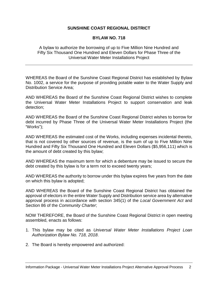#### **SUNSHINE COAST REGIONAL DISTRICT**

#### **BYLAW NO. 718**

A bylaw to authorize the borrowing of up to Five Million Nine Hundred and Fifty Six Thousand One Hundred and Eleven Dollars for Phase Three of the Universal Water Meter Installations Project

WHEREAS the Board of the Sunshine Coast Regional District has established by Bylaw No. 1002, a service for the purpose of providing potable water to the Water Supply and Distribution Service Area;

AND WHEREAS the Board of the Sunshine Coast Regional District wishes to complete the Universal Water Meter Installations Project to support conservation and leak detection;

AND WHEREAS the Board of the Sunshine Coast Regional District wishes to borrow for debt incurred by Phase Three of the Universal Water Meter Installations Project (the "Works");

AND WHEREAS the estimated cost of the Works, including expenses incidental thereto, that is not covered by other sources of revenue, is the sum of up to Five Million Nine Hundred and Fifty Six Thousand One Hundred and Eleven Dollars (\$5,956,111) which is the amount of debt created by this bylaw;

AND WHEREAS the maximum term for which a debenture may be issued to secure the debt created by this bylaw is for a term not to exceed twenty years;

AND WHEREAS the authority to borrow under this bylaw expires five years from the date on which this bylaw is adopted;

AND WHEREAS the Board of the Sunshine Coast Regional District has obtained the approval of electors in the entire Water Supply and Distribution service area by alternative approval process in accordance with section 345(1) of the *Local Government Act* and Section 86 of the *Community Charter*;

NOW THEREFORE, the Board of the Sunshine Coast Regional District in open meeting assembled, enacts as follows:

- 1. This bylaw may be cited as *Universal Water Meter Installations Project Loan Authorization Bylaw No. 718, 2018*.
- 2. The Board is hereby empowered and authorized: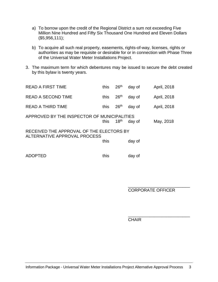- a) To borrow upon the credit of the Regional District a sum not exceeding Five Million Nine Hundred and Fifty Six Thousand One Hundred and Eleven Dollars (\$5,956,111);
- b) To acquire all such real property, easements, rights-of-way, licenses, rights or authorities as may be requisite or desirable for or in connection with Phase Three of the Universal Water Meter Installations Project.
- 3. The maximum term for which debentures may be issued to secure the debt created by this bylaw is twenty years.

| <b>READ A FIRST TIME</b>                                                 | this | 26 <sup>th</sup> | day of | April, 2018 |  |  |
|--------------------------------------------------------------------------|------|------------------|--------|-------------|--|--|
| <b>READ A SECOND TIME</b>                                                | this | 26 <sup>th</sup> | day of | April, 2018 |  |  |
| <b>READ A THIRD TIME</b>                                                 | this | 26 <sup>th</sup> | day of | April, 2018 |  |  |
| APPROVED BY THE INSPECTOR OF MUNICIPALITIES                              | this | 18 <sup>th</sup> | day of | May, 2018   |  |  |
| RECEIVED THE APPROVAL OF THE ELECTORS BY<br>ALTERNATIVE APPROVAL PROCESS |      |                  |        |             |  |  |
|                                                                          | this |                  | day of |             |  |  |
| <b>ADOPTED</b>                                                           | this |                  | day of |             |  |  |

\_\_\_\_\_\_\_\_\_\_\_\_\_\_\_\_\_\_\_\_\_\_\_\_\_\_ CORPORATE OFFICER

\_\_\_\_\_\_\_\_\_\_\_\_\_\_\_\_\_\_\_\_\_\_\_\_\_\_ **CHAIR**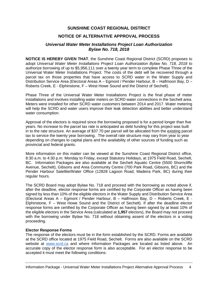#### **SUNSHINE COAST REGIONAL DISTRICT**

#### **NOTICE OF ALTERNATIVE APPROVAL PROCESS**

#### *Universal Water Meter Installations Project Loan Authorization Bylaw No. 718, 2018*

**NOTICE IS HEREBY GIVEN THAT**, the Sunshine Coast Regional District (SCRD) proposes to adopt *Universal Water Meter Installations Project Loan Authorization Bylaw No. 718, 2018* to authorize borrowing of up to \$5,956,111 over a twenty year term to complete Phase Three of the Universal Water Meter Installations Project. The costs of the debt will be recovered through a parcel tax on those properties that have access to SCRD water in the Water Supply and Distribution Service Area (Electoral Areas A – Egmont / Pender Harbour, B – Halfmoon Bay, D – Roberts Creek, E - Elphinstone, F – West Howe Sound and the District of Sechelt).

Phase Three of the Universal Water Meter Installations Project is the final phase of meter installations and involves installing water meters on SCRD water connections in the Sechelt area. Meters were installed for other SCRD water customers between 2014 and 2017. Water metering will help the SCRD and water users improve their leak detection abilities and better understand water consumption.

Approval of the electors is required since the borrowing proposed is for a period longer than five years. No increase to the parcel tax rate is anticipated as debt funding for this project was built in to the rate structure. An average of \$37.70 per parcel will be allocated from the existing parcel tax to service the twenty year borrowing. The overall rate structure may vary from year to year depending on changes to capital plans and the availability of other sources of funding such as provincial and federal grants.

More information on this matter can be viewed at the Sunshine Coast Regional District office, 8:30 a.m. to 4:30 p.m. Monday to Friday, except Statutory Holidays, at 1975 Field Road, Sechelt, BC. Information Packages are also available at the Sechelt Aquatic Centre (5500 Shorncliffe Avenue, Sechelt), Gibsons and Area Community Centre (700 Park Road, Gibsons, BC) and the Pender Harbour Satellite/Water Office (12828 Lagoon Road, Madeira Park, BC) during their regular hours.

The SCRD Board may adopt Bylaw No. 718 and proceed with the borrowing as noted above if, after the deadline, elector response forms are certified by the Corporate Officer as having been signed by less than 10% of the eligible electors in the Water Supply and Distribution Service Area (Electoral Areas A – Egmont / Pender Harbour, B – Halfmoon Bay, D – Roberts Creek, E - Elphinstone, F – West Howe Sound and the District of Sechelt). If after the deadline elector response forms are certified by the Corporate Officer as having been signed by at least 10% of the eligible electors in the Service Area (calculated at **1,957** electors), the Board may not proceed with the borrowing under Bylaw No. 718 without obtaining assent of the electors in a voting proceeding.

#### **Elector Response Forms**

The response of the electors must be in the form established by the SCRD. Forms are available at the SCRD office located at 1975 Field Road, Sechelt. Forms are also available on the SCRD website at [www.scrd.ca](http://www.scrd.ca/) and where Information Packages are located as listed above. An accurate copy of the elector response form is also acceptable. For an elector response to be accepted it must meet the following conditions: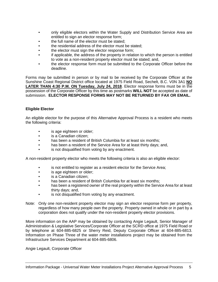- only eligible electors within the Water Supply and Distribution Service Area are entitled to sign an elector response form;
- the full name of the elector must be stated;
- the residential address of the elector must be stated:
- the elector must sign the elector response form;
- if applicable, the address of the property in relation to which the person is entitled to vote as a non-resident property elector must be stated; and,
- the elector response form must be submitted to the Corporate Officer before the deadline.

Forms may be submitted in person or by mail to be received by the Corporate Officer at the Sunshine Coast Regional District office located at 1975 Field Road, Sechelt, B.C. V0N 3A1 **NO LATER THAN 4:30 P.M. ON Tuesday, July 24, 2018**. Elector response forms must be in the possession of the Corporate Officer by this time as postmarks **WILL NOT** be accepted as date of submission. **ELECTOR RESPONSE FORMS MAY NOT BE RETURNED BY FAX OR EMAIL.**

#### **Eligible Elector**

An eligible elector for the purpose of this Alternative Approval Process is a resident who meets the following criteria:

- is age eighteen or older;
- is a Canadian citizen;
- has been a resident of British Columbia for at least six months;
- has been a resident of the Service Area for at least thirty days; and,
- is not disqualified from voting by any enactment.

A non-resident property elector who meets the following criteria is also an eligible elector:

- is not entitled to register as a resident elector for the Service Area;
- is age eighteen or older;
- is a Canadian citizen;
- has been a resident of British Columbia for at least six months;
- has been a registered owner of the real property within the Service Area for at least thirty days; and,
- is not disqualified from voting by any enactment.
- Note: Only one non-resident property elector may sign an elector response form per property, regardless of how many people own the property. Property owned in whole or in part by a corporation does not qualify under the non-resident property elector provisions.

More information on the AAP may be obtained by contacting Angie Legault, Senior Manager of Administration & Legislative Services/Corporate Officer at the SCRD office at 1975 Field Road or by telephone at 604-885-6825 or Sherry Reid, Deputy Corporate Officer at 604-885-6813. Information on Phase Three of the water meter installations project may be obtained from the Infrastructure Services Department at 604-885-6806.

Angie Legault, Corporate Officer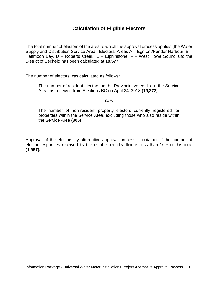### **Calculation of Eligible Electors**

The total number of electors of the area to which the approval process applies (the Water Supply and Distribution Service Area –Electoral Areas A – Egmont/Pender Harbour, B – Halfmoon Bay,  $D$  – Roberts Creek,  $E$  – Elphinstone,  $F$  – West Howe Sound and the District of Sechelt) has been calculated at **19,577**.

The number of electors was calculated as follows:

The number of resident electors on the Provincial voters list in the Service Area, as received from Elections BC on April 24, 2018 **(19,272)**

#### *plus*

The number of non-resident property electors currently registered for properties within the Service Area, excluding those who also reside within the Service Area **(305)**

Approval of the electors by alternative approval process is obtained if the number of elector responses received by the established deadline is less than 10% of this total **(1,957).**